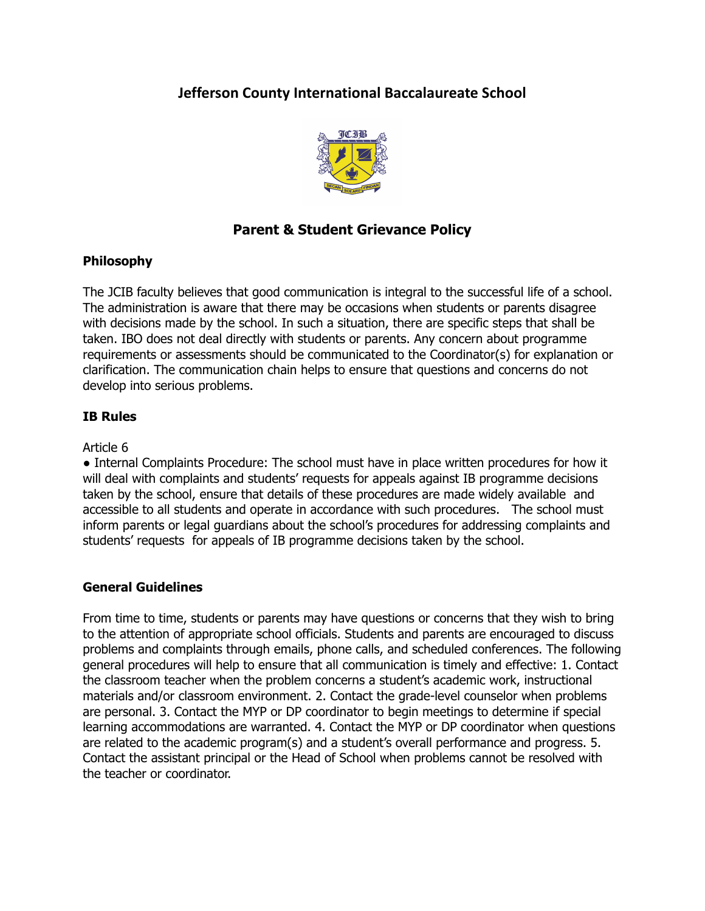# **Jefferson County International Baccalaureate School**



## **Parent & Student Grievance Policy**

#### **Philosophy**

The JCIB faculty believes that good communication is integral to the successful life of a school. The administration is aware that there may be occasions when students or parents disagree with decisions made by the school. In such a situation, there are specific steps that shall be taken. IBO does not deal directly with students or parents. Any concern about programme requirements or assessments should be communicated to the Coordinator(s) for explanation or clarification. The communication chain helps to ensure that questions and concerns do not develop into serious problems.

#### **IB Rules**

#### Article 6

• Internal Complaints Procedure: The school must have in place written procedures for how it will deal with complaints and students' requests for appeals against IB programme decisions taken by the school, ensure that details of these procedures are made widely available and accessible to all students and operate in accordance with such procedures. The school must inform parents or legal guardians about the school's procedures for addressing complaints and students' requests for appeals of IB programme decisions taken by the school.

### **General Guidelines**

From time to time, students or parents may have questions or concerns that they wish to bring to the attention of appropriate school officials. Students and parents are encouraged to discuss problems and complaints through emails, phone calls, and scheduled conferences. The following general procedures will help to ensure that all communication is timely and effective: 1. Contact the classroom teacher when the problem concerns a student's academic work, instructional materials and/or classroom environment. 2. Contact the grade-level counselor when problems are personal. 3. Contact the MYP or DP coordinator to begin meetings to determine if special learning accommodations are warranted. 4. Contact the MYP or DP coordinator when questions are related to the academic program(s) and a student's overall performance and progress. 5. Contact the assistant principal or the Head of School when problems cannot be resolved with the teacher or coordinator.